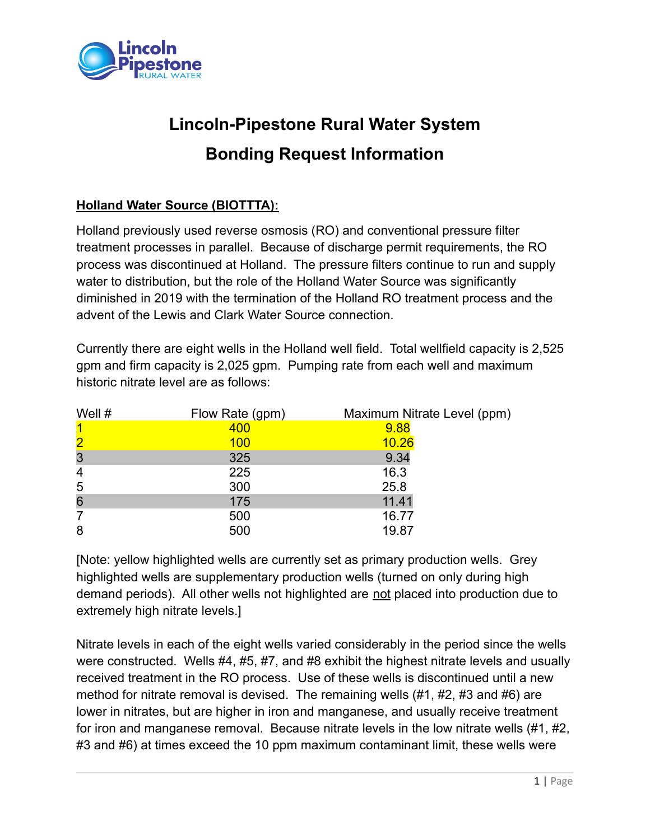

# **Lincoln-Pipestone Rural Water System Bonding Request Information**

## **Holland Water Source (BIOTTTA):**

Holland previously used reverse osmosis (RO) and conventional pressure filter treatment processes in parallel. Because of discharge permit requirements, the RO process was discontinued at Holland. The pressure filters continue to run and supply water to distribution, but the role of the Holland Water Source was significantly diminished in 2019 with the termination of the Holland RO treatment process and the advent of the Lewis and Clark Water Source connection.

Currently there are eight wells in the Holland well field. Total wellfield capacity is 2,525 gpm and firm capacity is 2,025 gpm. Pumping rate from each well and maximum historic nitrate level are as follows:

| Well #                  | Flow Rate (gpm) | Maximum Nitrate Level (ppm) |
|-------------------------|-----------------|-----------------------------|
|                         | 400             | 9.88                        |
| $\overline{\mathbf{2}}$ | <b>100</b>      | 10.26                       |
| 3                       | 325             | 9.34                        |
| 4                       | 225             | 16.3                        |
| 5                       | 300             | 25.8                        |
| 6                       | 175             | 11.41                       |
| 7                       | 500             | 16.77                       |
| 8                       | 500             | 19.87                       |

[Note: yellow highlighted wells are currently set as primary production wells. Grey highlighted wells are supplementary production wells (turned on only during high demand periods). All other wells not highlighted are not placed into production due to extremely high nitrate levels.]

Nitrate levels in each of the eight wells varied considerably in the period since the wells were constructed. Wells #4, #5, #7, and #8 exhibit the highest nitrate levels and usually received treatment in the RO process. Use of these wells is discontinued until a new method for nitrate removal is devised. The remaining wells (#1, #2, #3 and #6) are lower in nitrates, but are higher in iron and manganese, and usually receive treatment for iron and manganese removal. Because nitrate levels in the low nitrate wells (#1, #2, #3 and #6) at times exceed the 10 ppm maximum contaminant limit, these wells were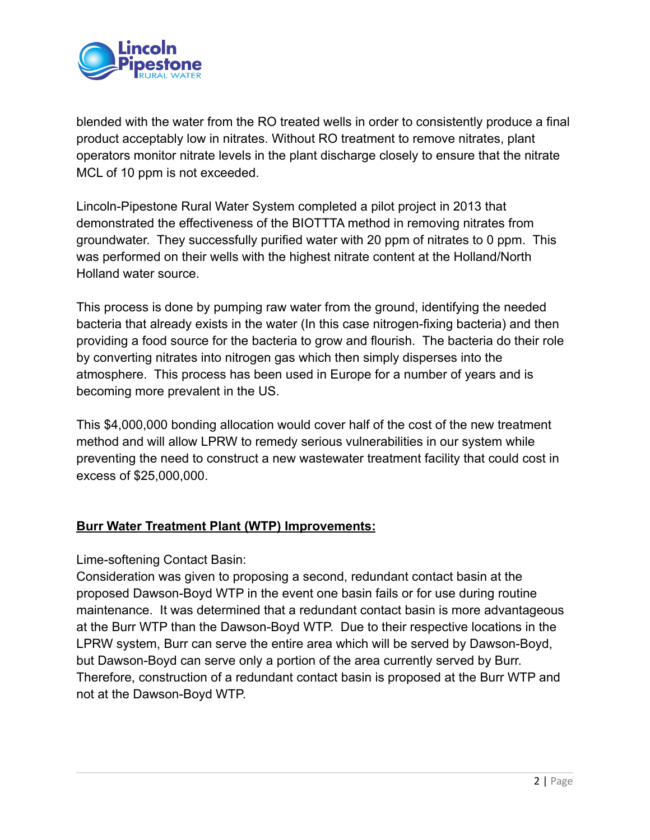

blended with the water from the RO treated wells in order to consistently produce a final product acceptably low in nitrates. Without RO treatment to remove nitrates, plant operators monitor nitrate levels in the plant discharge closely to ensure that the nitrate MCL of 10 ppm is not exceeded.

Lincoln-Pipestone Rural Water System completed a pilot project in 2013 that demonstrated the effectiveness of the BIOTTTA method in removing nitrates from groundwater. They successfully purified water with 20 ppm of nitrates to 0 ppm. This was performed on their wells with the highest nitrate content at the Holland/North Holland water source.

This process is done by pumping raw water from the ground, identifying the needed bacteria that already exists in the water (In this case nitrogen-fixing bacteria) and then providing a food source for the bacteria to grow and flourish. The bacteria do their role by converting nitrates into nitrogen gas which then simply disperses into the atmosphere. This process has been used in Europe for a number of years and is becoming more prevalent in the US.

This \$4,000,000 bonding allocation would cover half of the cost of the new treatment method and will allow LPRW to remedy serious vulnerabilities in our system while preventing the need to construct a new wastewater treatment facility that could cost in excess of \$25,000,000.

## **Burr Water Treatment Plant (WTP) Improvements:**

#### Lime-softening Contact Basin:

Consideration was given to proposing a second, redundant contact basin at the proposed Dawson-Boyd WTP in the event one basin fails or for use during routine maintenance. It was determined that a redundant contact basin is more advantageous at the Burr WTP than the Dawson-Boyd WTP. Due to their respective locations in the LPRW system, Burr can serve the entire area which will be served by Dawson-Boyd, but Dawson-Boyd can serve only a portion of the area currently served by Burr. Therefore, construction of a redundant contact basin is proposed at the Burr WTP and not at the Dawson-Boyd WTP.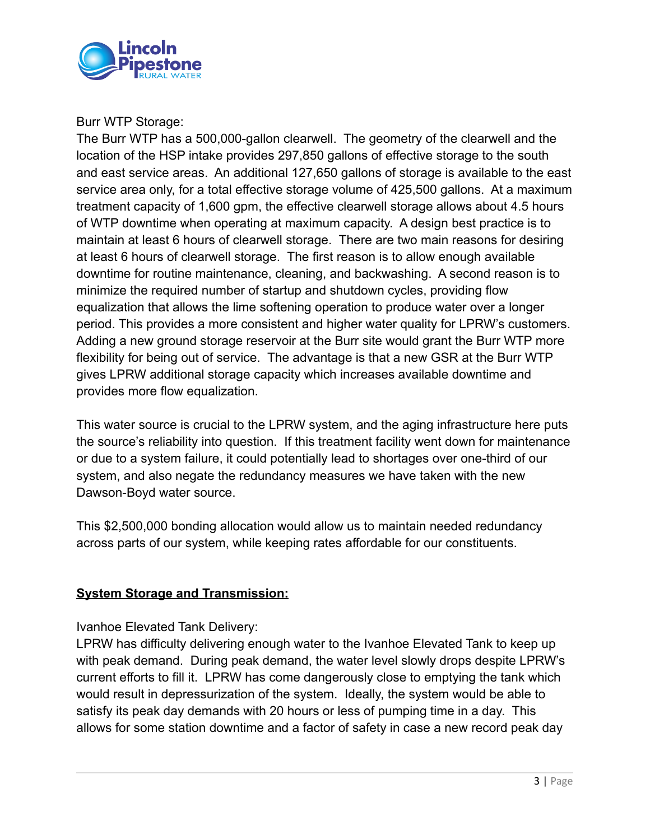

Burr WTP Storage:

The Burr WTP has a 500,000-gallon clearwell. The geometry of the clearwell and the location of the HSP intake provides 297,850 gallons of effective storage to the south and east service areas. An additional 127,650 gallons of storage is available to the east service area only, for a total effective storage volume of 425,500 gallons. At a maximum treatment capacity of 1,600 gpm, the effective clearwell storage allows about 4.5 hours of WTP downtime when operating at maximum capacity. A design best practice is to maintain at least 6 hours of clearwell storage. There are two main reasons for desiring at least 6 hours of clearwell storage. The first reason is to allow enough available downtime for routine maintenance, cleaning, and backwashing. A second reason is to minimize the required number of startup and shutdown cycles, providing flow equalization that allows the lime softening operation to produce water over a longer period. This provides a more consistent and higher water quality for LPRW's customers. Adding a new ground storage reservoir at the Burr site would grant the Burr WTP more flexibility for being out of service. The advantage is that a new GSR at the Burr WTP gives LPRW additional storage capacity which increases available downtime and provides more flow equalization.

This water source is crucial to the LPRW system, and the aging infrastructure here puts the source's reliability into question. If this treatment facility went down for maintenance or due to a system failure, it could potentially lead to shortages over one-third of our system, and also negate the redundancy measures we have taken with the new Dawson-Boyd water source.

This \$2,500,000 bonding allocation would allow us to maintain needed redundancy across parts of our system, while keeping rates affordable for our constituents.

## **System Storage and Transmission:**

#### Ivanhoe Elevated Tank Delivery:

LPRW has difficulty delivering enough water to the Ivanhoe Elevated Tank to keep up with peak demand. During peak demand, the water level slowly drops despite LPRW's current efforts to fill it. LPRW has come dangerously close to emptying the tank which would result in depressurization of the system. Ideally, the system would be able to satisfy its peak day demands with 20 hours or less of pumping time in a day. This allows for some station downtime and a factor of safety in case a new record peak day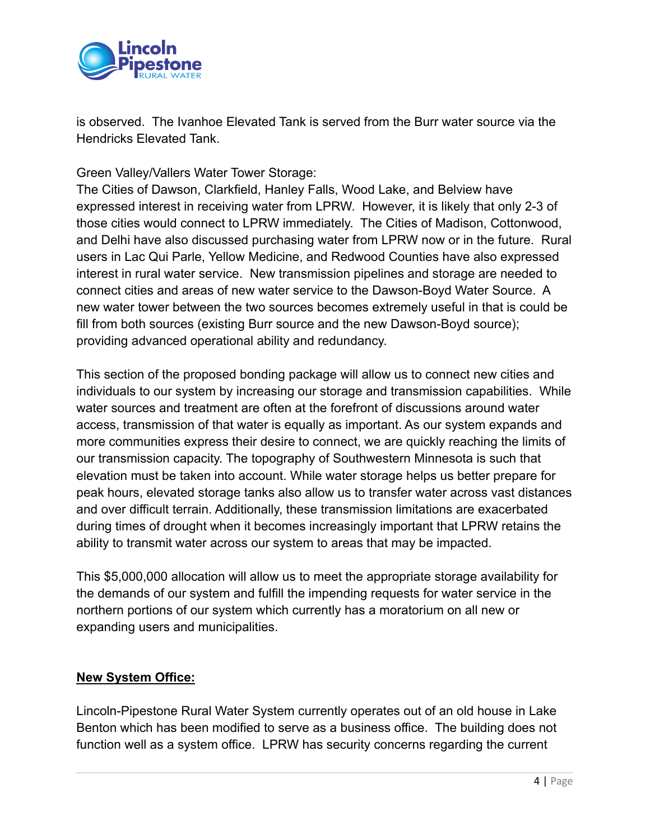

is observed. The Ivanhoe Elevated Tank is served from the Burr water source via the Hendricks Elevated Tank.

Green Valley/Vallers Water Tower Storage:

The Cities of Dawson, Clarkfield, Hanley Falls, Wood Lake, and Belview have expressed interest in receiving water from LPRW. However, it is likely that only 2-3 of those cities would connect to LPRW immediately. The Cities of Madison, Cottonwood, and Delhi have also discussed purchasing water from LPRW now or in the future. Rural users in Lac Qui Parle, Yellow Medicine, and Redwood Counties have also expressed interest in rural water service. New transmission pipelines and storage are needed to connect cities and areas of new water service to the Dawson-Boyd Water Source. A new water tower between the two sources becomes extremely useful in that is could be fill from both sources (existing Burr source and the new Dawson-Boyd source); providing advanced operational ability and redundancy.

This section of the proposed bonding package will allow us to connect new cities and individuals to our system by increasing our storage and transmission capabilities. While water sources and treatment are often at the forefront of discussions around water access, transmission of that water is equally as important. As our system expands and more communities express their desire to connect, we are quickly reaching the limits of our transmission capacity. The topography of Southwestern Minnesota is such that elevation must be taken into account. While water storage helps us better prepare for peak hours, elevated storage tanks also allow us to transfer water across vast distances and over difficult terrain. Additionally, these transmission limitations are exacerbated during times of drought when it becomes increasingly important that LPRW retains the ability to transmit water across our system to areas that may be impacted.

This \$5,000,000 allocation will allow us to meet the appropriate storage availability for the demands of our system and fulfill the impending requests for water service in the northern portions of our system which currently has a moratorium on all new or expanding users and municipalities.

## **New System Office:**

Lincoln-Pipestone Rural Water System currently operates out of an old house in Lake Benton which has been modified to serve as a business office. The building does not function well as a system office. LPRW has security concerns regarding the current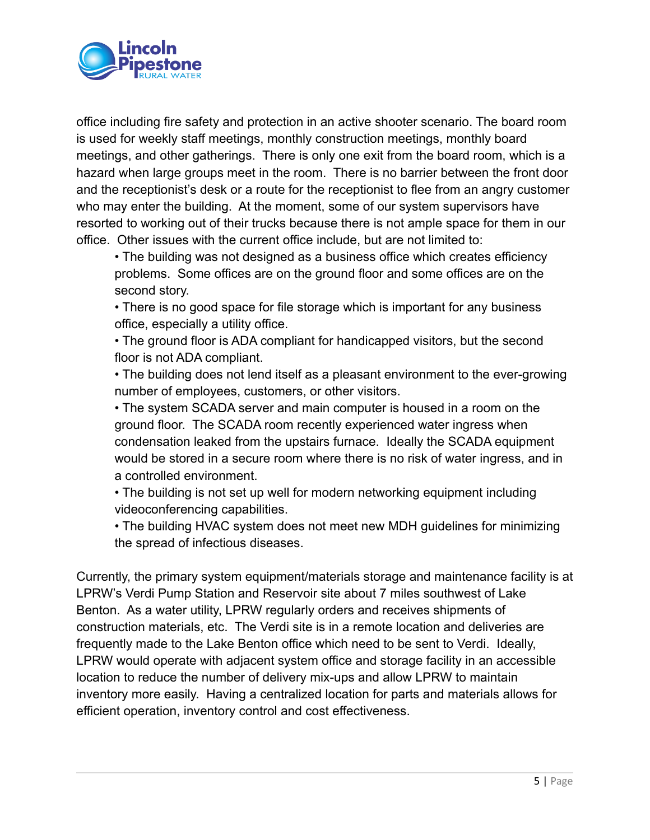

office including fire safety and protection in an active shooter scenario. The board room is used for weekly staff meetings, monthly construction meetings, monthly board meetings, and other gatherings. There is only one exit from the board room, which is a hazard when large groups meet in the room. There is no barrier between the front door and the receptionist's desk or a route for the receptionist to flee from an angry customer who may enter the building. At the moment, some of our system supervisors have resorted to working out of their trucks because there is not ample space for them in our office. Other issues with the current office include, but are not limited to:

• The building was not designed as a business office which creates efficiency problems. Some offices are on the ground floor and some offices are on the second story.

• There is no good space for file storage which is important for any business office, especially a utility office.

• The ground floor is ADA compliant for handicapped visitors, but the second floor is not ADA compliant.

• The building does not lend itself as a pleasant environment to the ever-growing number of employees, customers, or other visitors.

• The system SCADA server and main computer is housed in a room on the ground floor. The SCADA room recently experienced water ingress when condensation leaked from the upstairs furnace. Ideally the SCADA equipment would be stored in a secure room where there is no risk of water ingress, and in a controlled environment.

• The building is not set up well for modern networking equipment including videoconferencing capabilities.

• The building HVAC system does not meet new MDH guidelines for minimizing the spread of infectious diseases.

Currently, the primary system equipment/materials storage and maintenance facility is at LPRW's Verdi Pump Station and Reservoir site about 7 miles southwest of Lake Benton. As a water utility, LPRW regularly orders and receives shipments of construction materials, etc. The Verdi site is in a remote location and deliveries are frequently made to the Lake Benton office which need to be sent to Verdi. Ideally, LPRW would operate with adjacent system office and storage facility in an accessible location to reduce the number of delivery mix-ups and allow LPRW to maintain inventory more easily. Having a centralized location for parts and materials allows for efficient operation, inventory control and cost effectiveness.